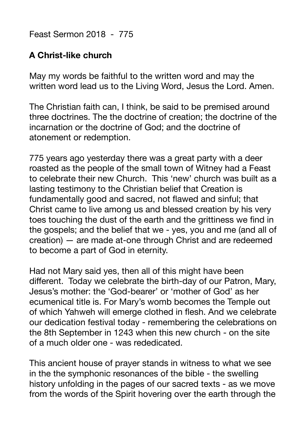Feast Sermon 2018 - 775

## **A Christ-like church**

May my words be faithful to the written word and may the written word lead us to the Living Word, Jesus the Lord. Amen.

The Christian faith can, I think, be said to be premised around three doctrines. The the doctrine of creation; the doctrine of the incarnation or the doctrine of God; and the doctrine of atonement or redemption.

775 years ago yesterday there was a great party with a deer roasted as the people of the small town of Witney had a Feast to celebrate their new Church. This 'new' church was built as a lasting testimony to the Christian belief that Creation is fundamentally good and sacred, not flawed and sinful; that Christ came to live among us and blessed creation by his very toes touching the dust of the earth and the grittiness we find in the gospels; and the belief that we - yes, you and me (and all of creation) — are made at-one through Christ and are redeemed to become a part of God in eternity.

Had not Mary said yes, then all of this might have been different. Today we celebrate the birth-day of our Patron, Mary, Jesus's mother: the 'God-bearer' or 'mother of God' as her ecumenical title is. For Mary's womb becomes the Temple out of which Yahweh will emerge clothed in flesh. And we celebrate our dedication festival today - remembering the celebrations on the 8th September in 1243 when this new church - on the site of a much older one - was rededicated.

This ancient house of prayer stands in witness to what we see in the the symphonic resonances of the bible - the swelling history unfolding in the pages of our sacred texts - as we move from the words of the Spirit hovering over the earth through the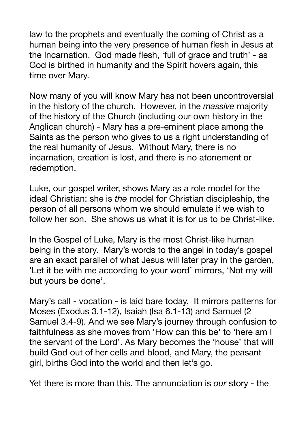law to the prophets and eventually the coming of Christ as a human being into the very presence of human flesh in Jesus at the Incarnation. God made flesh, 'full of grace and truth' - as God is birthed in humanity and the Spirit hovers again, this time over Mary.

Now many of you will know Mary has not been uncontroversial in the history of the church. However, in the *massive* majority of the history of the Church (including our own history in the Anglican church) - Mary has a pre-eminent place among the Saints as the person who gives to us a right understanding of the real humanity of Jesus. Without Mary, there is no incarnation, creation is lost, and there is no atonement or redemption.

Luke, our gospel writer, shows Mary as a role model for the ideal Christian: she is *the* model for Christian discipleship, the person of all persons whom we should emulate if we wish to follow her son. She shows us what it is for us to be Christ-like.

In the Gospel of Luke, Mary is the most Christ-like human being in the story. Mary's words to the angel in today's gospel are an exact parallel of what Jesus will later pray in the garden, 'Let it be with me according to your word' mirrors, 'Not my will but yours be done'.

Mary's call - vocation - is laid bare today. It mirrors patterns for Moses (Exodus 3.1-12), Isaiah (Isa 6.1-13) and Samuel (2 Samuel 3.4-9). And we see Mary's journey through confusion to faithfulness as she moves from 'How can this be' to 'here am I the servant of the Lord'. As Mary becomes the 'house' that will build God out of her cells and blood, and Mary, the peasant girl, births God into the world and then let's go.

Yet there is more than this. The annunciation is *our* story - the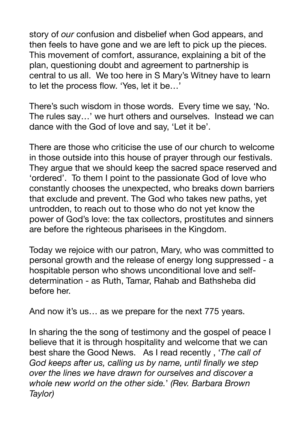story of *our* confusion and disbelief when God appears, and then feels to have gone and we are left to pick up the pieces. This movement of comfort, assurance, explaining a bit of the plan, questioning doubt and agreement to partnership is central to us all. We too here in S Mary's Witney have to learn to let the process flow. 'Yes, let it be…'

There's such wisdom in those words. Every time we say, 'No. The rules say…' we hurt others and ourselves. Instead we can dance with the God of love and say, 'Let it be'.

There are those who criticise the use of our church to welcome in those outside into this house of prayer through our festivals. They argue that we should keep the sacred space reserved and 'ordered'. To them I point to the passionate God of love who constantly chooses the unexpected, who breaks down barriers that exclude and prevent. The God who takes new paths, yet untrodden, to reach out to those who do not yet know the power of God's love: the tax collectors, prostitutes and sinners are before the righteous pharisees in the Kingdom.

Today we rejoice with our patron, Mary, who was committed to personal growth and the release of energy long suppressed - a hospitable person who shows unconditional love and selfdetermination - as Ruth, Tamar, Rahab and Bathsheba did before her.

And now it's us… as we prepare for the next 775 years.

In sharing the the song of testimony and the gospel of peace I believe that it is through hospitality and welcome that we can best share the Good News. As I read recently , '*The call of God keeps after us, calling us by name, until finally we step over the lines we have drawn for ourselves and discover a whole new world on the other side.*' *(Rev. Barbara Brown Taylor)*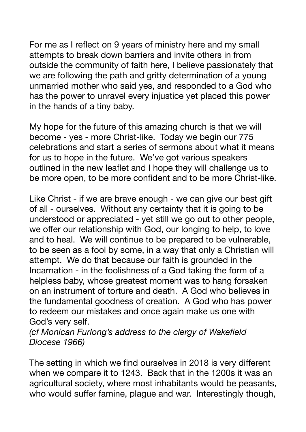For me as I reflect on 9 years of ministry here and my small attempts to break down barriers and invite others in from outside the community of faith here, I believe passionately that we are following the path and gritty determination of a young unmarried mother who said yes, and responded to a God who has the power to unravel every injustice yet placed this power in the hands of a tiny baby.

My hope for the future of this amazing church is that we will become - yes - more Christ-like. Today we begin our 775 celebrations and start a series of sermons about what it means for us to hope in the future. We've got various speakers outlined in the new leaflet and I hope they will challenge us to be more open, to be more confident and to be more Christ-like.

Like Christ - if we are brave enough - we can give our best gift of all - ourselves. Without any certainty that it is going to be understood or appreciated - yet still we go out to other people, we offer our relationship with God, our longing to help, to love and to heal. We will continue to be prepared to be vulnerable, to be seen as a fool by some, in a way that only a Christian will attempt. We do that because our faith is grounded in the Incarnation - in the foolishness of a God taking the form of a helpless baby, whose greatest moment was to hang forsaken on an instrument of torture and death. A God who believes in the fundamental goodness of creation. A God who has power to redeem our mistakes and once again make us one with God's very self.

*(cf Monican Furlong's address to the clergy of Wakefield Diocese 1966)* 

The setting in which we find ourselves in 2018 is very different when we compare it to 1243. Back that in the 1200s it was an agricultural society, where most inhabitants would be peasants, who would suffer famine, plague and war. Interestingly though,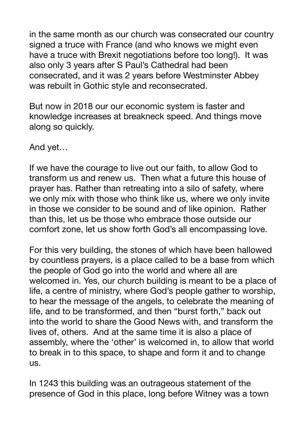in the same month as our church was consecrated our country signed a truce with France (and who knows we might even have a truce with Brexit negotiations before too long!). It was also only 3 years after S Paul's Cathedral had been consecrated, and it was 2 years before Westminster Abbey was rebuilt in Gothic style and reconsecrated.

But now in 2018 our our economic system is faster and knowledge increases at breakneck speed. And things move along so quickly.

And yet…

If we have the courage to live out our faith, to allow God to transform us and renew us. Then what a future this house of prayer has. Rather than retreating into a silo of safety, where we only mix with those who think like us, where we only invite in those we consider to be sound and of like opinion. Rather than this, let us be those who embrace those outside our comfort zone, let us show forth God's all encompassing love.

For this very building, the stones of which have been hallowed by countless prayers, is a place called to be a base from which the people of God go into the world and where all are welcomed in. Yes, our church building is meant to be a place of life, a centre of ministry, where God's people gather to worship, to hear the message of the angels, to celebrate the meaning of life, and to be transformed, and then "burst forth," back out into the world to share the Good News with, and transform the lives of, others. And at the same time it is also a place of assembly, where the 'other' is welcomed in, to allow that world to break in to this space, to shape and form it and to change us.

In 1243 this building was an outrageous statement of the presence of God in this place, long before Witney was a town